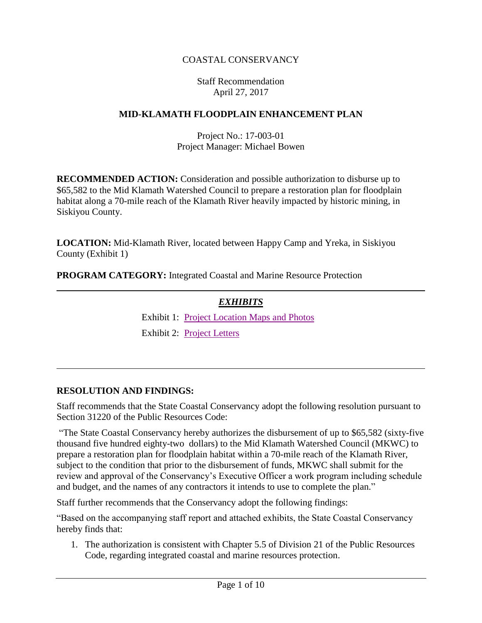## COASTAL CONSERVANCY

#### Staff Recommendation April 27, 2017

### **MID-KLAMATH FLOODPLAIN ENHANCEMENT PLAN**

Project No.: 17-003-01 Project Manager: Michael Bowen

**RECOMMENDED ACTION:** Consideration and possible authorization to disburse up to \$65,582 to the Mid Klamath Watershed Council to prepare a restoration plan for floodplain habitat along a 70-mile reach of the Klamath River heavily impacted by historic mining, in Siskiyou County.

**LOCATION:** Mid-Klamath River, located between Happy Camp and Yreka, in Siskiyou County (Exhibit 1)

**PROGRAM CATEGORY:** Integrated Coastal and Marine Resource Protection

### *EXHIBITS*

Exhibit 1: [Project Location Maps](20170427Board03A_Mid_Klamath_Ex1.pdf) and Photos

Exhibit 2: [Project Letters](20170427Board03A_Mid_Klamath_Ex2.pdf)

#### **RESOLUTION AND FINDINGS:**

Staff recommends that the State Coastal Conservancy adopt the following resolution pursuant to Section 31220 of the Public Resources Code:

"The State Coastal Conservancy hereby authorizes the disbursement of up to \$65,582 (sixty-five thousand five hundred eighty-two dollars) to the Mid Klamath Watershed Council (MKWC) to prepare a restoration plan for floodplain habitat within a 70-mile reach of the Klamath River, subject to the condition that prior to the disbursement of funds, MKWC shall submit for the review and approval of the Conservancy's Executive Officer a work program including schedule and budget, and the names of any contractors it intends to use to complete the plan."

Staff further recommends that the Conservancy adopt the following findings:

"Based on the accompanying staff report and attached exhibits, the State Coastal Conservancy hereby finds that:

1. The authorization is consistent with Chapter 5.5 of Division 21 of the Public Resources Code, regarding integrated coastal and marine resources protection.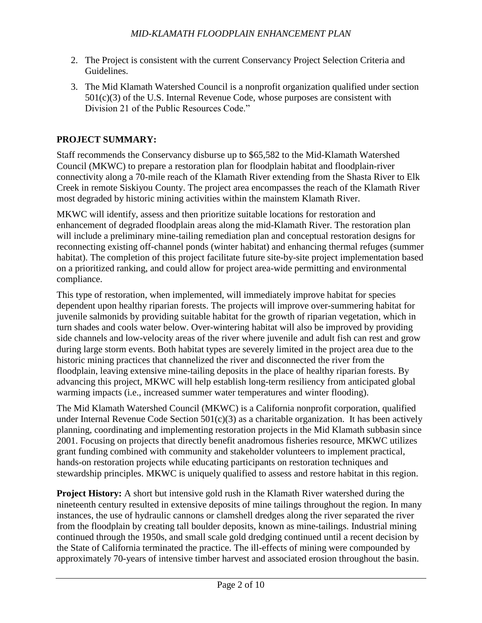- 2. The Project is consistent with the current Conservancy Project Selection Criteria and Guidelines.
- 3. The Mid Klamath Watershed Council is a nonprofit organization qualified under section  $501(c)(3)$  of the U.S. Internal Revenue Code, whose purposes are consistent with Division 21 of the Public Resources Code."

## **PROJECT SUMMARY:**

Staff recommends the Conservancy disburse up to \$65,582 to the Mid-Klamath Watershed Council (MKWC) to prepare a restoration plan for floodplain habitat and floodplain-river connectivity along a 70-mile reach of the Klamath River extending from the Shasta River to Elk Creek in remote Siskiyou County. The project area encompasses the reach of the Klamath River most degraded by historic mining activities within the mainstem Klamath River.

MKWC will identify, assess and then prioritize suitable locations for restoration and enhancement of degraded floodplain areas along the mid-Klamath River. The restoration plan will include a preliminary mine-tailing remediation plan and conceptual restoration designs for reconnecting existing off-channel ponds (winter habitat) and enhancing thermal refuges (summer habitat). The completion of this project facilitate future site-by-site project implementation based on a prioritized ranking, and could allow for project area-wide permitting and environmental compliance.

This type of restoration, when implemented, will immediately improve habitat for species dependent upon healthy riparian forests. The projects will improve over-summering habitat for juvenile salmonids by providing suitable habitat for the growth of riparian vegetation, which in turn shades and cools water below. Over-wintering habitat will also be improved by providing side channels and low-velocity areas of the river where juvenile and adult fish can rest and grow during large storm events. Both habitat types are severely limited in the project area due to the historic mining practices that channelized the river and disconnected the river from the floodplain, leaving extensive mine-tailing deposits in the place of healthy riparian forests. By advancing this project, MKWC will help establish long-term resiliency from anticipated global warming impacts (i.e., increased summer water temperatures and winter flooding).

The Mid Klamath Watershed Council (MKWC) is a California nonprofit corporation, qualified under Internal Revenue Code Section  $501(c)(3)$  as a charitable organization. It has been actively planning, coordinating and implementing restoration projects in the Mid Klamath subbasin since 2001. Focusing on projects that directly benefit anadromous fisheries resource, MKWC utilizes grant funding combined with community and stakeholder volunteers to implement practical, hands-on restoration projects while educating participants on restoration techniques and stewardship principles. MKWC is uniquely qualified to assess and restore habitat in this region.

**Project History:** A short but intensive gold rush in the Klamath River watershed during the nineteenth century resulted in extensive deposits of mine tailings throughout the region. In many instances, the use of hydraulic cannons or clamshell dredges along the river separated the river from the floodplain by creating tall boulder deposits, known as mine-tailings. Industrial mining continued through the 1950s, and small scale gold dredging continued until a recent decision by the State of California terminated the practice. The ill-effects of mining were compounded by approximately 70-years of intensive timber harvest and associated erosion throughout the basin.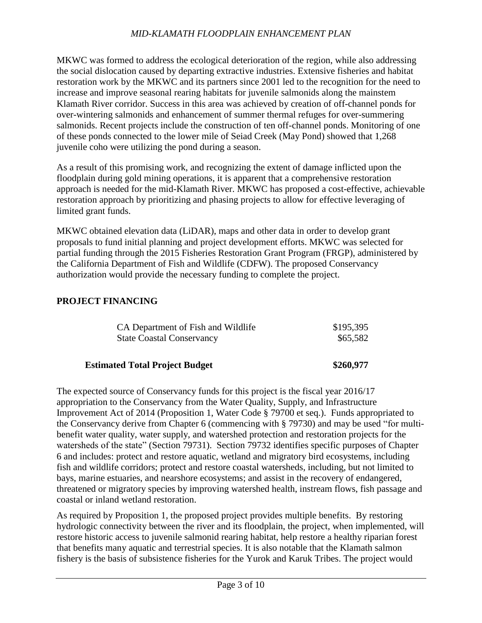MKWC was formed to address the ecological deterioration of the region, while also addressing the social dislocation caused by departing extractive industries. Extensive fisheries and habitat restoration work by the MKWC and its partners since 2001 led to the recognition for the need to increase and improve seasonal rearing habitats for juvenile salmonids along the mainstem Klamath River corridor. Success in this area was achieved by creation of off-channel ponds for over-wintering salmonids and enhancement of summer thermal refuges for over-summering salmonids. Recent projects include the construction of ten off-channel ponds. Monitoring of one of these ponds connected to the lower mile of Seiad Creek (May Pond) showed that 1,268 juvenile coho were utilizing the pond during a season.

As a result of this promising work, and recognizing the extent of damage inflicted upon the floodplain during gold mining operations, it is apparent that a comprehensive restoration approach is needed for the mid-Klamath River. MKWC has proposed a cost-effective, achievable restoration approach by prioritizing and phasing projects to allow for effective leveraging of limited grant funds.

MKWC obtained elevation data (LiDAR), maps and other data in order to develop grant proposals to fund initial planning and project development efforts. MKWC was selected for partial funding through the 2015 Fisheries Restoration Grant Program (FRGP), administered by the California Department of Fish and Wildlife (CDFW). The proposed Conservancy authorization would provide the necessary funding to complete the project.

### **PROJECT FINANCING**

| CA Department of Fish and Wildlife | \$195,395 |
|------------------------------------|-----------|
| <b>State Coastal Conservancy</b>   | \$65,582  |
|                                    |           |

### **Estimated Total Project Budget \$260,977**

The expected source of Conservancy funds for this project is the fiscal year 2016/17 appropriation to the Conservancy from the Water Quality, Supply, and Infrastructure Improvement Act of 2014 (Proposition 1, Water Code § 79700 et seq.). Funds appropriated to the Conservancy derive from Chapter 6 (commencing with § 79730) and may be used "for multibenefit water quality, water supply, and watershed protection and restoration projects for the watersheds of the state" (Section 79731). Section 79732 identifies specific purposes of Chapter 6 and includes: protect and restore aquatic, wetland and migratory bird ecosystems, including fish and wildlife corridors; protect and restore coastal watersheds, including, but not limited to bays, marine estuaries, and nearshore ecosystems; and assist in the recovery of endangered, threatened or migratory species by improving watershed health, instream flows, fish passage and coastal or inland wetland restoration.

As required by Proposition 1, the proposed project provides multiple benefits. By restoring hydrologic connectivity between the river and its floodplain, the project, when implemented, will restore historic access to juvenile salmonid rearing habitat, help restore a healthy riparian forest that benefits many aquatic and terrestrial species. It is also notable that the Klamath salmon fishery is the basis of subsistence fisheries for the Yurok and Karuk Tribes. The project would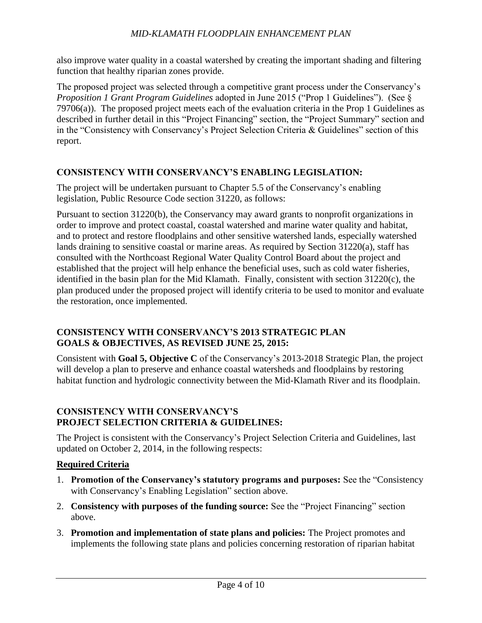also improve water quality in a coastal watershed by creating the important shading and filtering function that healthy riparian zones provide.

The proposed project was selected through a competitive grant process under the Conservancy's *Proposition 1 Grant Program Guidelines* adopted in June 2015 ("Prop 1 Guidelines"). (See § 79706(a)). The proposed project meets each of the evaluation criteria in the Prop 1 Guidelines as described in further detail in this "Project Financing" section, the "Project Summary" section and in the "Consistency with Conservancy's Project Selection Criteria & Guidelines" section of this report.

#### **CONSISTENCY WITH CONSERVANCY'S ENABLING LEGISLATION:**

The project will be undertaken pursuant to Chapter 5.5 of the Conservancy's enabling legislation, Public Resource Code section 31220, as follows:

Pursuant to section 31220(b), the Conservancy may award grants to nonprofit organizations in order to improve and protect coastal, coastal watershed and marine water quality and habitat, and to protect and restore floodplains and other sensitive watershed lands, especially watershed lands draining to sensitive coastal or marine areas. As required by Section 31220(a), staff has consulted with the Northcoast Regional Water Quality Control Board about the project and established that the project will help enhance the beneficial uses, such as cold water fisheries, identified in the basin plan for the Mid Klamath. Finally, consistent with section 31220(c), the plan produced under the proposed project will identify criteria to be used to monitor and evaluate the restoration, once implemented.

### **CONSISTENCY WITH CONSERVANCY'S 2013 STRATEGIC PLAN GOALS & OBJECTIVES, AS REVISED JUNE 25, 2015:**

Consistent with **Goal 5, Objective C** of the Conservancy's 2013-2018 Strategic Plan, the project will develop a plan to preserve and enhance coastal watersheds and floodplains by restoring habitat function and hydrologic connectivity between the Mid-Klamath River and its floodplain.

#### **CONSISTENCY WITH CONSERVANCY'S PROJECT SELECTION CRITERIA & GUIDELINES:**

The Project is consistent with the Conservancy's Project Selection Criteria and Guidelines, last updated on October 2, 2014, in the following respects:

### **Required Criteria**

- 1. **Promotion of the Conservancy's statutory programs and purposes:** See the "Consistency with Conservancy's Enabling Legislation" section above.
- 2. **Consistency with purposes of the funding source:** See the "Project Financing" section above.
- 3. **Promotion and implementation of state plans and policies:** The Project promotes and implements the following state plans and policies concerning restoration of riparian habitat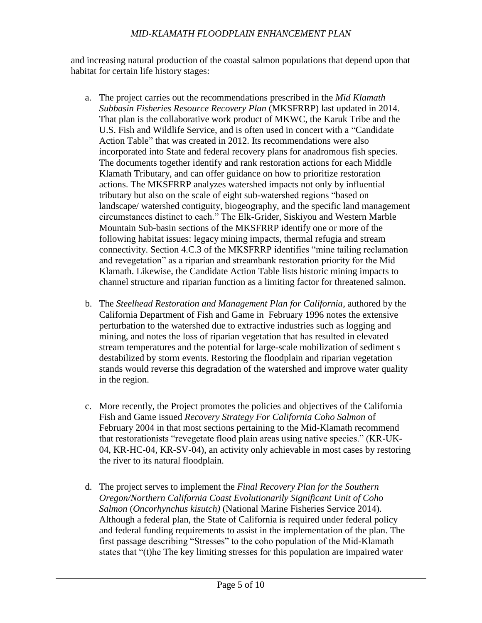and increasing natural production of the coastal salmon populations that depend upon that habitat for certain life history stages:

- a. The project carries out the recommendations prescribed in the *Mid Klamath Subbasin Fisheries Resource Recovery Plan* (MKSFRRP) last updated in 2014. That plan is the collaborative work product of MKWC, the Karuk Tribe and the U.S. Fish and Wildlife Service, and is often used in concert with a "Candidate Action Table" that was created in 2012. Its recommendations were also incorporated into State and federal recovery plans for anadromous fish species. The documents together identify and rank restoration actions for each Middle Klamath Tributary, and can offer guidance on how to prioritize restoration actions. The MKSFRRP analyzes watershed impacts not only by influential tributary but also on the scale of eight sub-watershed regions "based on landscape/ watershed contiguity, biogeography, and the specific land management circumstances distinct to each." The Elk-Grider, Siskiyou and Western Marble Mountain Sub-basin sections of the MKSFRRP identify one or more of the following habitat issues: legacy mining impacts, thermal refugia and stream connectivity. Section 4.C.3 of the MKSFRRP identifies "mine tailing reclamation and revegetation" as a riparian and streambank restoration priority for the Mid Klamath. Likewise, the Candidate Action Table lists historic mining impacts to channel structure and riparian function as a limiting factor for threatened salmon.
- b. The *Steelhead Restoration and Management Plan for California*, authored by the California Department of Fish and Game in February 1996 notes the extensive perturbation to the watershed due to extractive industries such as logging and mining, and notes the loss of riparian vegetation that has resulted in elevated stream temperatures and the potential for large-scale mobilization of sediment s destabilized by storm events. Restoring the floodplain and riparian vegetation stands would reverse this degradation of the watershed and improve water quality in the region.
- c. More recently, the Project promotes the policies and objectives of the California Fish and Game issued *Recovery Strategy For California Coho Salmon* of February 2004 in that most sections pertaining to the Mid-Klamath recommend that restorationists "revegetate flood plain areas using native species." (KR-UK-04, KR-HC-04, KR-SV-04), an activity only achievable in most cases by restoring the river to its natural floodplain.
- d. The project serves to implement the *Final Recovery Plan for the Southern Oregon/Northern California Coast Evolutionarily Significant Unit of Coho Salmon* (*Oncorhynchus kisutch)* (National Marine Fisheries Service 2014). Although a federal plan, the State of California is required under federal policy and federal funding requirements to assist in the implementation of the plan. The first passage describing "Stresses" to the coho population of the Mid-Klamath states that "(t)he The key limiting stresses for this population are impaired water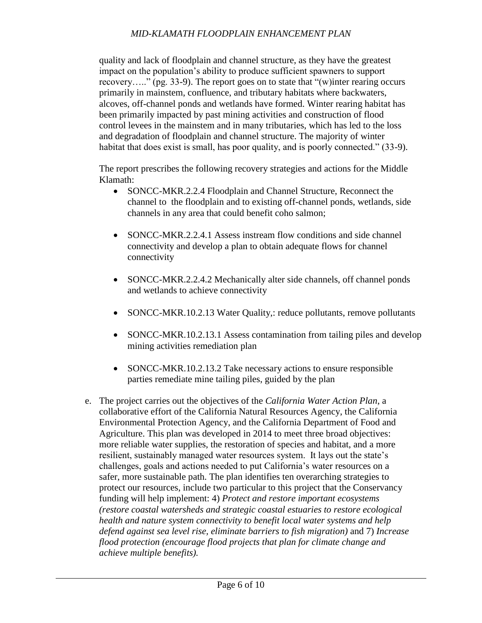quality and lack of floodplain and channel structure, as they have the greatest impact on the population's ability to produce sufficient spawners to support recovery….." (pg. 33-9). The report goes on to state that "(w)inter rearing occurs primarily in mainstem, confluence, and tributary habitats where backwaters, alcoves, off-channel ponds and wetlands have formed. Winter rearing habitat has been primarily impacted by past mining activities and construction of flood control levees in the mainstem and in many tributaries, which has led to the loss and degradation of floodplain and channel structure. The majority of winter habitat that does exist is small, has poor quality, and is poorly connected." (33-9).

The report prescribes the following recovery strategies and actions for the Middle Klamath:

- SONCC-MKR.2.2.4 Floodplain and Channel Structure, Reconnect the channel to the floodplain and to existing off-channel ponds, wetlands, side channels in any area that could benefit coho salmon;
- SONCC-MKR.2.2.4.1 Assess instream flow conditions and side channel connectivity and develop a plan to obtain adequate flows for channel connectivity
- SONCC-MKR.2.2.4.2 Mechanically alter side channels, off channel ponds and wetlands to achieve connectivity
- SONCC-MKR.10.2.13 Water Quality,: reduce pollutants, remove pollutants
- SONCC-MKR.10.2.13.1 Assess contamination from tailing piles and develop mining activities remediation plan
- SONCC-MKR.10.2.13.2 Take necessary actions to ensure responsible parties remediate mine tailing piles, guided by the plan
- e. The project carries out the objectives of the *California Water Action Plan*, a collaborative effort of the California Natural Resources Agency, the California Environmental Protection Agency, and the California Department of Food and Agriculture. This plan was developed in 2014 to meet three broad objectives: more reliable water supplies, the restoration of species and habitat, and a more resilient, sustainably managed water resources system. It lays out the state's challenges, goals and actions needed to put California's water resources on a safer, more sustainable path. The plan identifies ten overarching strategies to protect our resources, include two particular to this project that the Conservancy funding will help implement: 4) *Protect and restore important ecosystems (restore coastal watersheds and strategic coastal estuaries to restore ecological health and nature system connectivity to benefit local water systems and help defend against sea level rise, eliminate barriers to fish migration)* and 7) *Increase flood protection (encourage flood projects that plan for climate change and achieve multiple benefits).*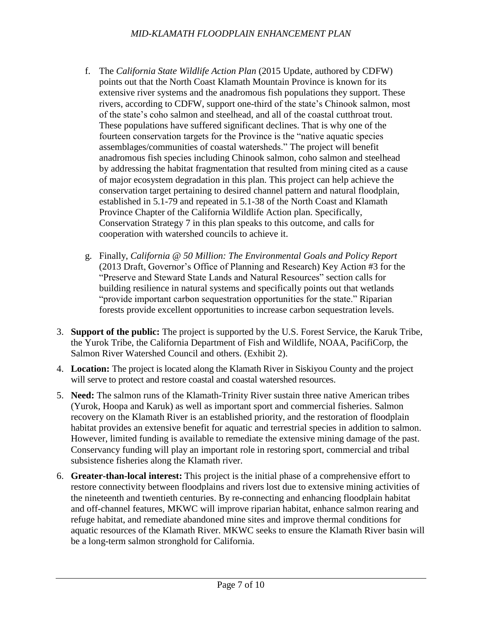- f. The *California State Wildlife Action Plan* (2015 Update, authored by CDFW) points out that the North Coast Klamath Mountain Province is known for its extensive river systems and the anadromous fish populations they support. These rivers, according to CDFW, support one-third of the state's Chinook salmon, most of the state's coho salmon and steelhead, and all of the coastal cutthroat trout. These populations have suffered significant declines. That is why one of the fourteen conservation targets for the Province is the "native aquatic species assemblages/communities of coastal watersheds." The project will benefit anadromous fish species including Chinook salmon, coho salmon and steelhead by addressing the habitat fragmentation that resulted from mining cited as a cause of major ecosystem degradation in this plan. This project can help achieve the conservation target pertaining to desired channel pattern and natural floodplain, established in 5.1-79 and repeated in 5.1-38 of the North Coast and Klamath Province Chapter of the California Wildlife Action plan. Specifically, Conservation Strategy 7 in this plan speaks to this outcome, and calls for cooperation with watershed councils to achieve it.
- g. Finally, *California @ 50 Million: The Environmental Goals and Policy Report*  (2013 Draft, Governor's Office of Planning and Research) Key Action #3 for the "Preserve and Steward State Lands and Natural Resources" section calls for building resilience in natural systems and specifically points out that wetlands "provide important carbon sequestration opportunities for the state." Riparian forests provide excellent opportunities to increase carbon sequestration levels.
- 3. **Support of the public:** The project is supported by the U.S. Forest Service, the Karuk Tribe, the Yurok Tribe, the California Department of Fish and Wildlife, NOAA, PacifiCorp, the Salmon River Watershed Council and others. (Exhibit 2).
- 4. **Location:** The project is located along the Klamath River in Siskiyou County and the project will serve to protect and restore coastal and coastal watershed resources.
- 5. **Need:** The salmon runs of the Klamath-Trinity River sustain three native American tribes (Yurok, Hoopa and Karuk) as well as important sport and commercial fisheries. Salmon recovery on the Klamath River is an established priority, and the restoration of floodplain habitat provides an extensive benefit for aquatic and terrestrial species in addition to salmon. However, limited funding is available to remediate the extensive mining damage of the past. Conservancy funding will play an important role in restoring sport, commercial and tribal subsistence fisheries along the Klamath river.
- 6. **Greater-than-local interest:** This project is the initial phase of a comprehensive effort to restore connectivity between floodplains and rivers lost due to extensive mining activities of the nineteenth and twentieth centuries. By re-connecting and enhancing floodplain habitat and off-channel features, MKWC will improve riparian habitat, enhance salmon rearing and refuge habitat, and remediate abandoned mine sites and improve thermal conditions for aquatic resources of the Klamath River. MKWC seeks to ensure the Klamath River basin will be a long-term salmon stronghold for California.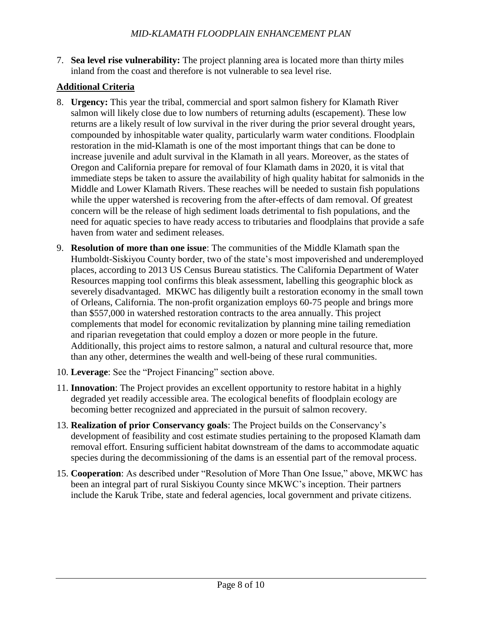7. **Sea level rise vulnerability:** The project planning area is located more than thirty miles inland from the coast and therefore is not vulnerable to sea level rise.

## **Additional Criteria**

- 8. **Urgency:** This year the tribal, commercial and sport salmon fishery for Klamath River salmon will likely close due to low numbers of returning adults (escapement). These low returns are a likely result of low survival in the river during the prior several drought years, compounded by inhospitable water quality, particularly warm water conditions. Floodplain restoration in the mid-Klamath is one of the most important things that can be done to increase juvenile and adult survival in the Klamath in all years. Moreover, as the states of Oregon and California prepare for removal of four Klamath dams in 2020, it is vital that immediate steps be taken to assure the availability of high quality habitat for salmonids in the Middle and Lower Klamath Rivers. These reaches will be needed to sustain fish populations while the upper watershed is recovering from the after-effects of dam removal. Of greatest concern will be the release of high sediment loads detrimental to fish populations, and the need for aquatic species to have ready access to tributaries and floodplains that provide a safe haven from water and sediment releases.
- 9. **Resolution of more than one issue**: The communities of the Middle Klamath span the Humboldt-Siskiyou County border, two of the state's most impoverished and underemployed places, according to 2013 US Census Bureau statistics. The California Department of Water Resources mapping tool confirms this bleak assessment, labelling this geographic block as severely disadvantaged. MKWC has diligently built a restoration economy in the small town of Orleans, California. The non-profit organization employs 60-75 people and brings more than \$557,000 in watershed restoration contracts to the area annually. This project complements that model for economic revitalization by planning mine tailing remediation and riparian revegetation that could employ a dozen or more people in the future. Additionally, this project aims to restore salmon, a natural and cultural resource that, more than any other, determines the wealth and well-being of these rural communities.
- 10. **Leverage**: See the "Project Financing" section above.
- 11. **Innovation**: The Project provides an excellent opportunity to restore habitat in a highly degraded yet readily accessible area. The ecological benefits of floodplain ecology are becoming better recognized and appreciated in the pursuit of salmon recovery.
- 13. **Realization of prior Conservancy goals**: The Project builds on the Conservancy's development of feasibility and cost estimate studies pertaining to the proposed Klamath dam removal effort. Ensuring sufficient habitat downstream of the dams to accommodate aquatic species during the decommissioning of the dams is an essential part of the removal process.
- 15. **Cooperation**: As described under "Resolution of More Than One Issue," above, MKWC has been an integral part of rural Siskiyou County since MKWC's inception. Their partners include the Karuk Tribe, state and federal agencies, local government and private citizens.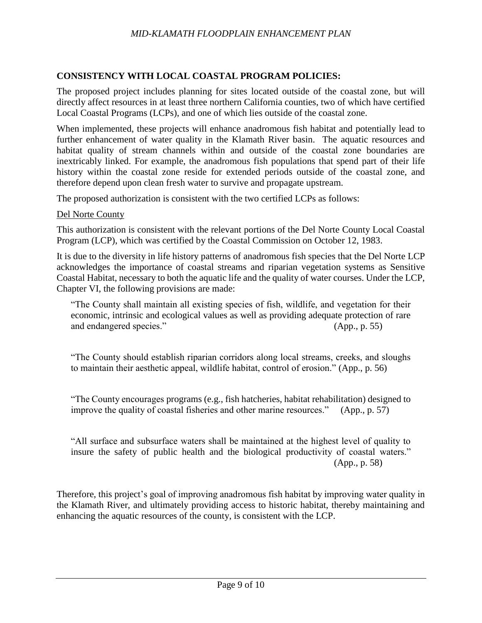### **CONSISTENCY WITH LOCAL COASTAL PROGRAM POLICIES:**

The proposed project includes planning for sites located outside of the coastal zone, but will directly affect resources in at least three northern California counties, two of which have certified Local Coastal Programs (LCPs), and one of which lies outside of the coastal zone.

When implemented, these projects will enhance anadromous fish habitat and potentially lead to further enhancement of water quality in the Klamath River basin. The aquatic resources and habitat quality of stream channels within and outside of the coastal zone boundaries are inextricably linked. For example, the anadromous fish populations that spend part of their life history within the coastal zone reside for extended periods outside of the coastal zone, and therefore depend upon clean fresh water to survive and propagate upstream.

The proposed authorization is consistent with the two certified LCPs as follows:

#### Del Norte County

This authorization is consistent with the relevant portions of the Del Norte County Local Coastal Program (LCP), which was certified by the Coastal Commission on October 12, 1983.

It is due to the diversity in life history patterns of anadromous fish species that the Del Norte LCP acknowledges the importance of coastal streams and riparian vegetation systems as Sensitive Coastal Habitat, necessary to both the aquatic life and the quality of water courses. Under the LCP, Chapter VI, the following provisions are made:

"The County shall maintain all existing species of fish, wildlife, and vegetation for their economic, intrinsic and ecological values as well as providing adequate protection of rare and endangered species." (App., p. 55)

"The County should establish riparian corridors along local streams, creeks, and sloughs to maintain their aesthetic appeal, wildlife habitat, control of erosion." (App., p. 56)

"The County encourages programs (e.g., fish hatcheries, habitat rehabilitation) designed to improve the quality of coastal fisheries and other marine resources." (App., p. 57)

"All surface and subsurface waters shall be maintained at the highest level of quality to insure the safety of public health and the biological productivity of coastal waters." (App., p. 58)

Therefore, this project's goal of improving anadromous fish habitat by improving water quality in the Klamath River, and ultimately providing access to historic habitat, thereby maintaining and enhancing the aquatic resources of the county, is consistent with the LCP.